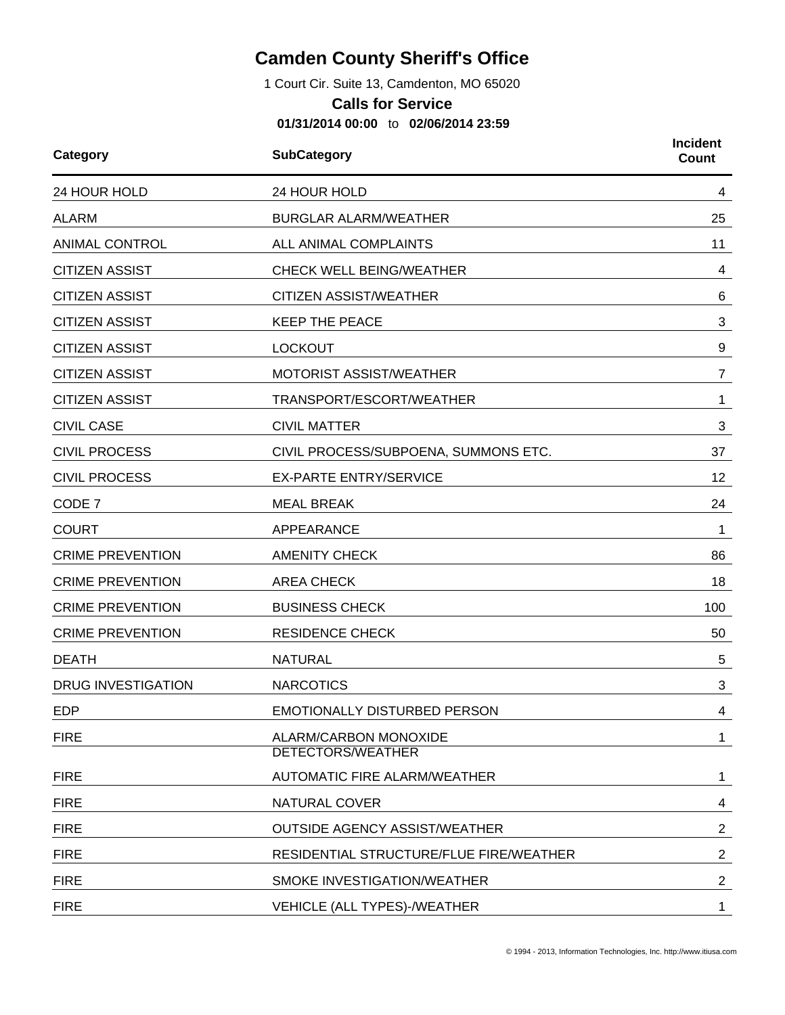## **Camden County Sheriff's Office**

1 Court Cir. Suite 13, Camdenton, MO 65020

## **Calls for Service**

**01/31/2014 00:00** to **02/06/2014 23:59**

| Category                  | <b>SubCategory</b>                                | <b>Incident</b><br>Count |  |
|---------------------------|---------------------------------------------------|--------------------------|--|
| 24 HOUR HOLD              | 24 HOUR HOLD                                      | 4                        |  |
| <b>ALARM</b>              | <b>BURGLAR ALARM/WEATHER</b>                      | 25                       |  |
| <b>ANIMAL CONTROL</b>     | ALL ANIMAL COMPLAINTS                             | 11                       |  |
| <b>CITIZEN ASSIST</b>     | <b>CHECK WELL BEING/WEATHER</b>                   | 4                        |  |
| <b>CITIZEN ASSIST</b>     | <b>CITIZEN ASSIST/WEATHER</b>                     | 6                        |  |
| <b>CITIZEN ASSIST</b>     | <b>KEEP THE PEACE</b>                             | 3                        |  |
| <b>CITIZEN ASSIST</b>     | <b>LOCKOUT</b>                                    | 9                        |  |
| <b>CITIZEN ASSIST</b>     | MOTORIST ASSIST/WEATHER                           | $\overline{7}$           |  |
| <b>CITIZEN ASSIST</b>     | TRANSPORT/ESCORT/WEATHER                          | 1                        |  |
| <b>CIVIL CASE</b>         | <b>CIVIL MATTER</b>                               | 3                        |  |
| <b>CIVIL PROCESS</b>      | CIVIL PROCESS/SUBPOENA, SUMMONS ETC.              | 37                       |  |
| <b>CIVIL PROCESS</b>      | <b>EX-PARTE ENTRY/SERVICE</b>                     | 12                       |  |
| CODE 7                    | <b>MEAL BREAK</b>                                 | 24                       |  |
| <b>COURT</b>              | APPEARANCE                                        | 1                        |  |
| <b>CRIME PREVENTION</b>   | <b>AMENITY CHECK</b>                              | 86                       |  |
| <b>CRIME PREVENTION</b>   | <b>AREA CHECK</b>                                 | 18                       |  |
| <b>CRIME PREVENTION</b>   | <b>BUSINESS CHECK</b>                             | 100                      |  |
| <b>CRIME PREVENTION</b>   | <b>RESIDENCE CHECK</b>                            | 50                       |  |
| <b>DEATH</b>              | <b>NATURAL</b>                                    | 5                        |  |
| <b>DRUG INVESTIGATION</b> | <b>NARCOTICS</b>                                  | 3                        |  |
| <b>EDP</b>                | EMOTIONALLY DISTURBED PERSON                      | 4                        |  |
| <b>FIRE</b>               | ALARM/CARBON MONOXIDE<br><b>DETECTORS/WEATHER</b> | $\mathbf{1}$             |  |
| <b>FIRE</b>               | AUTOMATIC FIRE ALARM/WEATHER                      | 1                        |  |
| <b>FIRE</b>               | <b>NATURAL COVER</b>                              | 4                        |  |
| <b>FIRE</b>               | <b>OUTSIDE AGENCY ASSIST/WEATHER</b>              | $\overline{2}$           |  |
| <b>FIRE</b>               | RESIDENTIAL STRUCTURE/FLUE FIRE/WEATHER           | $\overline{2}$           |  |
| <b>FIRE</b>               | SMOKE INVESTIGATION/WEATHER                       | $\overline{2}$           |  |
| <b>FIRE</b>               | VEHICLE (ALL TYPES)-/WEATHER                      | 1                        |  |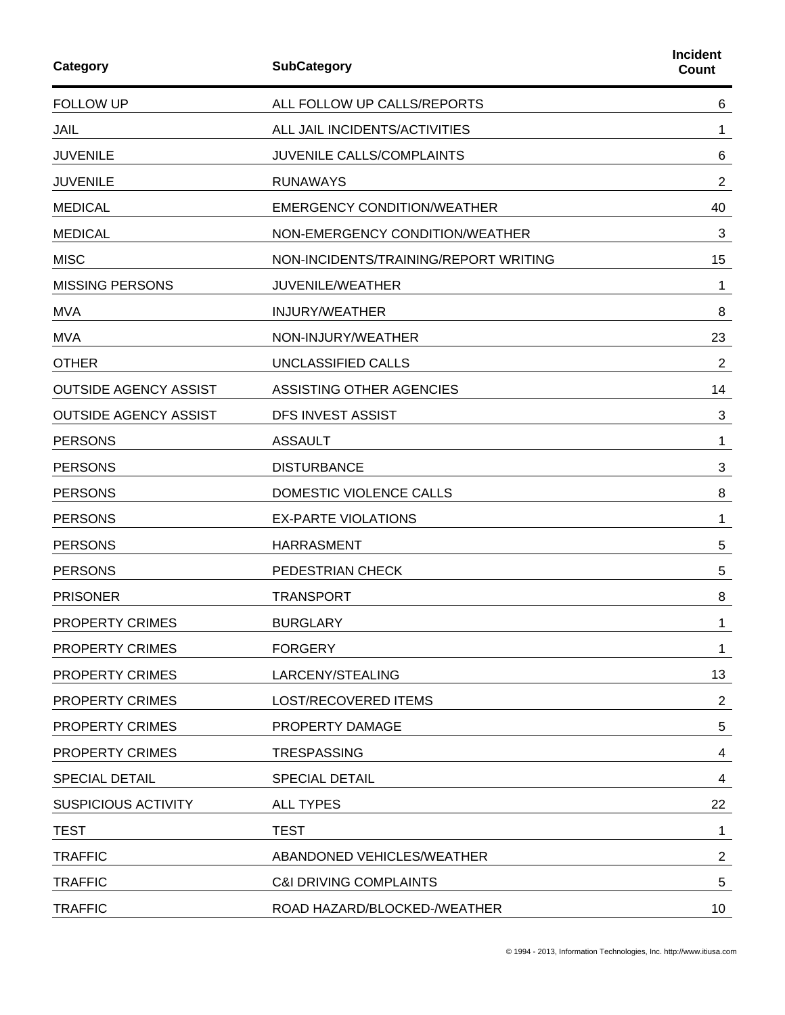| Category                     | <b>SubCategory</b>                    | <b>Incident</b><br>Count |
|------------------------------|---------------------------------------|--------------------------|
| <b>FOLLOW UP</b>             | ALL FOLLOW UP CALLS/REPORTS           | 6                        |
| <b>JAIL</b>                  | ALL JAIL INCIDENTS/ACTIVITIES         | 1                        |
| <b>JUVENILE</b>              | JUVENILE CALLS/COMPLAINTS             | 6                        |
| <b>JUVENILE</b>              | <b>RUNAWAYS</b>                       | $\overline{2}$           |
| <b>MEDICAL</b>               | <b>EMERGENCY CONDITION/WEATHER</b>    | 40                       |
| <b>MEDICAL</b>               | NON-EMERGENCY CONDITION/WEATHER       | 3                        |
| <b>MISC</b>                  | NON-INCIDENTS/TRAINING/REPORT WRITING | 15                       |
| <b>MISSING PERSONS</b>       | JUVENILE/WEATHER                      | 1                        |
| <b>MVA</b>                   | <b>INJURY/WEATHER</b>                 | 8                        |
| <b>MVA</b>                   | NON-INJURY/WEATHER                    | 23                       |
| <b>OTHER</b>                 | UNCLASSIFIED CALLS                    | $\overline{c}$           |
| <b>OUTSIDE AGENCY ASSIST</b> | ASSISTING OTHER AGENCIES              | 14                       |
| <b>OUTSIDE AGENCY ASSIST</b> | <b>DFS INVEST ASSIST</b>              | 3                        |
| <b>PERSONS</b>               | <b>ASSAULT</b>                        | 1                        |
| <b>PERSONS</b>               | <b>DISTURBANCE</b>                    | 3                        |
| <b>PERSONS</b>               | DOMESTIC VIOLENCE CALLS               | 8                        |
| <b>PERSONS</b>               | <b>EX-PARTE VIOLATIONS</b>            | 1                        |
| <b>PERSONS</b>               | <b>HARRASMENT</b>                     | 5                        |
| <b>PERSONS</b>               | PEDESTRIAN CHECK                      | 5                        |
| <b>PRISONER</b>              | <b>TRANSPORT</b>                      | 8                        |
| <b>PROPERTY CRIMES</b>       | <b>BURGLARY</b>                       | 1                        |
| <b>PROPERTY CRIMES</b>       | <b>FORGERY</b>                        | 1                        |
| <b>PROPERTY CRIMES</b>       | LARCENY/STEALING                      | 13                       |
| <b>PROPERTY CRIMES</b>       | <b>LOST/RECOVERED ITEMS</b>           | $\overline{2}$           |
| <b>PROPERTY CRIMES</b>       | PROPERTY DAMAGE                       | 5                        |
| <b>PROPERTY CRIMES</b>       | <b>TRESPASSING</b>                    | 4                        |
| <b>SPECIAL DETAIL</b>        | <b>SPECIAL DETAIL</b>                 | 4                        |
| <b>SUSPICIOUS ACTIVITY</b>   | <b>ALL TYPES</b>                      | 22                       |
| <b>TEST</b>                  | <b>TEST</b>                           | 1                        |
| <b>TRAFFIC</b>               | ABANDONED VEHICLES/WEATHER            | $\overline{c}$           |
| <b>TRAFFIC</b>               | <b>C&amp;I DRIVING COMPLAINTS</b>     | 5                        |
| <b>TRAFFIC</b>               | ROAD HAZARD/BLOCKED-/WEATHER          | 10 <sub>1</sub>          |